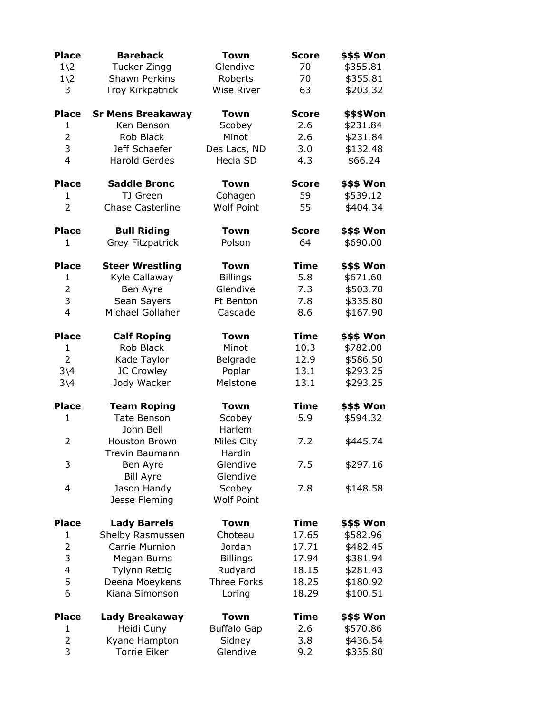| <b>Place</b>   | <b>Bareback</b>          | <b>Town</b>          | <b>Score</b> | \$\$\$ Won        |
|----------------|--------------------------|----------------------|--------------|-------------------|
| $1\angle 2$    | Tucker Zingg             | Glendive             | 70           | \$355.81          |
| $1\angle 2$    | <b>Shawn Perkins</b>     | Roberts              | 70           | \$355.81          |
| 3              | Troy Kirkpatrick         | <b>Wise River</b>    | 63           | \$203.32          |
|                |                          |                      |              |                   |
| <b>Place</b>   | <b>Sr Mens Breakaway</b> | <b>Town</b>          | <b>Score</b> | \$\$\$Won         |
| $\mathbf{1}$   | Ken Benson               | Scobey               | 2.6          | \$231.84          |
| $\overline{2}$ | Rob Black                | Minot                | 2.6          | \$231.84          |
| 3              | Jeff Schaefer            | Des Lacs, ND         | 3.0          | \$132.48          |
| 4              | <b>Harold Gerdes</b>     | Hecla SD             | 4.3          | \$66.24           |
| <b>Place</b>   | <b>Saddle Bronc</b>      | <b>Town</b>          | <b>Score</b> | \$\$\$ Won        |
| 1              | TJ Green                 | Cohagen              | 59           | \$539.12          |
| $\overline{2}$ | <b>Chase Casterline</b>  | <b>Wolf Point</b>    | 55           | \$404.34          |
|                |                          |                      |              |                   |
| <b>Place</b>   | <b>Bull Riding</b>       | <b>Town</b>          | <b>Score</b> | <b>\$\$\$ Won</b> |
| $\mathbf{1}$   | Grey Fitzpatrick         | Polson               | 64           | \$690.00          |
| <b>Place</b>   | <b>Steer Wrestling</b>   | <b>Town</b>          | <b>Time</b>  | \$\$\$ Won        |
| $\mathbf{1}$   | Kyle Callaway            | <b>Billings</b>      | 5.8          | \$671.60          |
| 2              | Ben Ayre                 | Glendive             | 7.3          | \$503.70          |
| 3              | Sean Sayers              | Ft Benton            | 7.8          | \$335.80          |
| $\overline{4}$ | Michael Gollaher         | Cascade              | 8.6          | \$167.90          |
|                |                          |                      |              |                   |
| <b>Place</b>   | <b>Calf Roping</b>       | Town                 | <b>Time</b>  | \$\$\$ Won        |
| $\mathbf{1}$   | Rob Black                | Minot                | 10.3         | \$782.00          |
| $\overline{2}$ | Kade Taylor              | Belgrade             | 12.9         | \$586.50          |
| $3\backslash4$ | JC Crowley               | Poplar               | 13.1         | \$293.25          |
| $3\backslash4$ | Jody Wacker              | Melstone             | 13.1         | \$293.25          |
| <b>Place</b>   | <b>Team Roping</b>       | <b>Town</b>          | <b>Time</b>  | <b>\$\$\$ Won</b> |
| $\mathbf{1}$   | <b>Tate Benson</b>       | Scobey               | 5.9          | \$594.32          |
|                | John Bell                | Harlem               |              |                   |
| $\overline{2}$ | <b>Houston Brown</b>     | Miles City           | 7.2          | \$445.74          |
|                | Trevin Baumann           | Hardin               |              |                   |
| 3              |                          |                      |              |                   |
|                | Ben Ayre                 | Glendive<br>Glendive | 7.5          | \$297.16          |
|                | <b>Bill Ayre</b>         |                      |              |                   |
| 4              | Jason Handy              | Scobey               | 7.8          | \$148.58          |
|                | Jesse Fleming            | <b>Wolf Point</b>    |              |                   |
| <b>Place</b>   | <b>Lady Barrels</b>      | <b>Town</b>          | <b>Time</b>  | \$\$\$ Won        |
| 1              | Shelby Rasmussen         | Choteau              | 17.65        | \$582.96          |
| $\overline{2}$ | Carrie Murnion           | Jordan               | 17.71        | \$482.45          |
| 3              | Megan Burns              | <b>Billings</b>      | 17.94        | \$381.94          |
| 4              | Tylynn Rettig            | Rudyard              | 18.15        | \$281.43          |
| 5              | Deena Moeykens           | Three Forks          | 18.25        | \$180.92          |
| 6              | Kiana Simonson           | Loring               | 18.29        | \$100.51          |
| <b>Place</b>   | Lady Breakaway           | <b>Town</b>          | <b>Time</b>  | \$\$\$ Won        |
| $\mathbf 1$    | Heidi Cuny               | <b>Buffalo Gap</b>   | 2.6          | \$570.86          |
|                |                          |                      |              |                   |
| 2              | Kyane Hampton            | Sidney               | 3.8          | \$436.54          |
| 3              | <b>Torrie Eiker</b>      | Glendive             | 9.2          | \$335.80          |